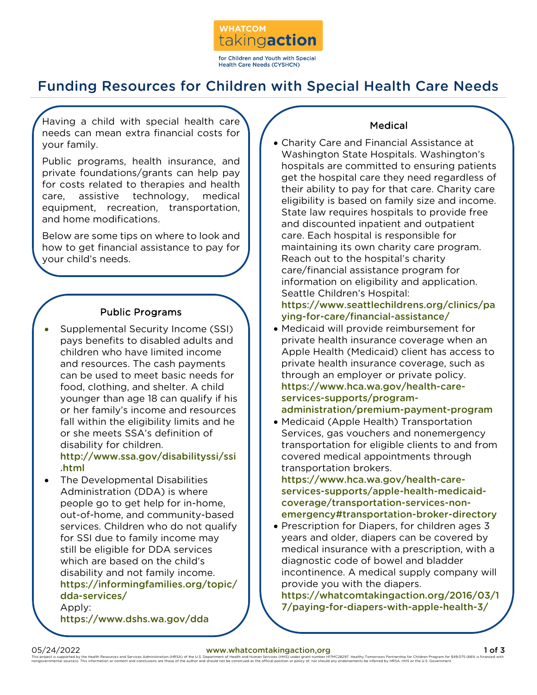

# Funding Resources for Children with Special Health Care Needs

Having a child with special health care needs can mean extra financial costs for your family.

Public programs, health insurance, and private foundations/grants can help pay for costs related to therapies and health care, assistive technology, medical equipment, recreation, transportation, and home modifications.

Below are some tips on where to look and how to get financial assistance to pay for your child's needs.

# Public Programs

• Supplemental Security Income (SSI) pays benefits to disabled adults and children who have limited income and resources. The cash payments can be used to meet basic needs for food, clothing, and shelter. A child younger than age 18 can qualify if his or her family's income and resources fall within the eligibility limits and he or she meets SSA's definition of disability for children.

http://www.ssa.gov/disabilityssi/ssi .html

• The Developmental Disabilities Administration (DDA) is where people go to get help for in-home, out-of-home, and community-based services. Children who do not qualify for SSI due to family income may still be eligible for DDA services which are based on the child's disability and not family income. https://informingfamilies.org/topic/ dda-services/ Apply:

https://www.dshs.wa.gov/dda

## Medical

• Charity Care and Financial Assistance at Washington State Hospitals. Washington's hospitals are committed to ensuring patients get the hospital care they need regardless of their ability to pay for that care. Charity care eligibility is based on family size and income. State law requires hospitals to provide free and discounted inpatient and outpatient care. Each hospital is responsible for maintaining its own charity care program. Reach out to the hospital's charity care/financial assistance program for information on eligibility and application. Seattle Children's Hospital:

https://www.seattlechildrens.org/clinics/pa ying-for-care/financial-assistance/

- Medicaid will provide reimbursement for private health insurance coverage when an Apple Health (Medicaid) client has access to private health insurance coverage, such as through an employer or private policy. https://www.hca.wa.gov/health-careservices-supports/programadministration/premium-payment-program
- Medicaid (Apple Health) Transportation Services, gas vouchers and nonemergency transportation for eligible clients to and from covered medical appointments through transportation brokers.

https://www.hca.wa.gov/health-careservices-supports/apple-health-medicaidcoverage/transportation-services-nonemergency#transportation-broker-directory

• Prescription for Diapers, for children ages 3 years and older, diapers can be covered by medical insurance with a prescription, with a diagnostic code of bowel and bladder incontinence. A medical supply company will provide you with the diapers.

https://whatcomtakingaction.org/2016/03/1 7/paying-for-diapers-with-apple-health-3/

05/24/2022 **[www.whatcomtakingaction,org](http://www.whatcomtakingaction,org/)** and Services Administration (HBSA) of the U.S. Department of Health and Human Services (HHS) under grant number HTMC28297 Healthy Tomorrows Partnership for Children Program for \$49. This project is supported by the Health Resources and Services Administration (HRSA) of the U.S. Department of Health and Human Services (HHS) under grant number HIMC28297. Healthouse hand construes are the efficial positi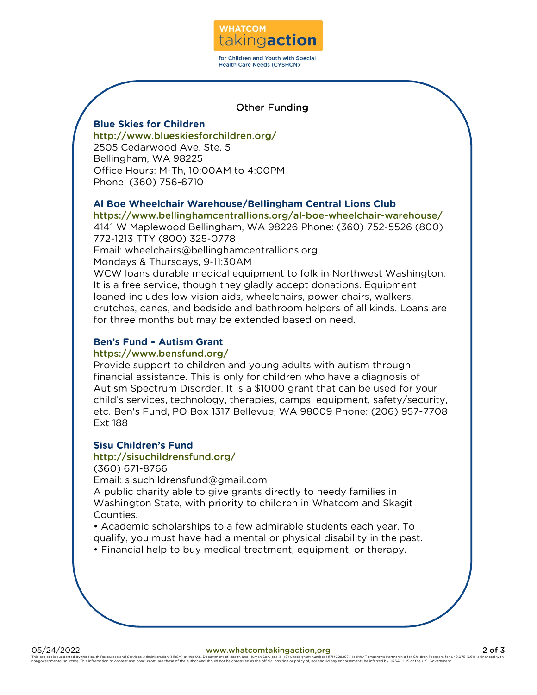

## Other Funding

## **Blue Skies for Children**

http://www.blueskiesforchildren.org/ 2505 Cedarwood Ave. Ste. 5 Bellingham, WA 98225 Office Hours: M-Th, 10:00AM to 4:00PM Phone: (360) 756-6710

## **Al Boe Wheelchair Warehouse/Bellingham Central Lions Club**

https://www.bellinghamcentrallions.org/al-boe-wheelchair-warehouse/ 4141 W Maplewood Bellingham, WA 98226 Phone: (360) 752-5526 (800) 772-1213 TTY (800) 325-0778

Email: wheelchairs@bellinghamcentrallions.org

Mondays & Thursdays, 9-11:30AM

WCW loans durable medical equipment to folk in Northwest Washington. It is a free service, though they gladly accept donations. Equipment loaned includes low vision aids, wheelchairs, power chairs, walkers, crutches, canes, and bedside and bathroom helpers of all kinds. Loans are for three months but may be extended based on need.

# **Ben's Fund – Autism Grant**

## https://www.bensfund.org/

Provide support to children and young adults with autism through financial assistance. This is only for children who have a diagnosis of Autism Spectrum Disorder. It is a \$1000 grant that can be used for your child's services, technology, therapies, camps, equipment, safety/security, etc. Ben's Fund, PO Box 1317 Bellevue, WA 98009 Phone: (206) 957-7708 Ext 188

## **Sisu Children's Fund**

## http://sisuchildrensfund.org/

(360) 671-8766

Email: sisuchildrensfund@gmail.com

A public charity able to give grants directly to needy families in Washington State, with priority to children in Whatcom and Skagit Counties.

• Academic scholarships to a few admirable students each year. To qualify, you must have had a mental or physical disability in the past.

• Financial help to buy medical treatment, equipment, or therapy.